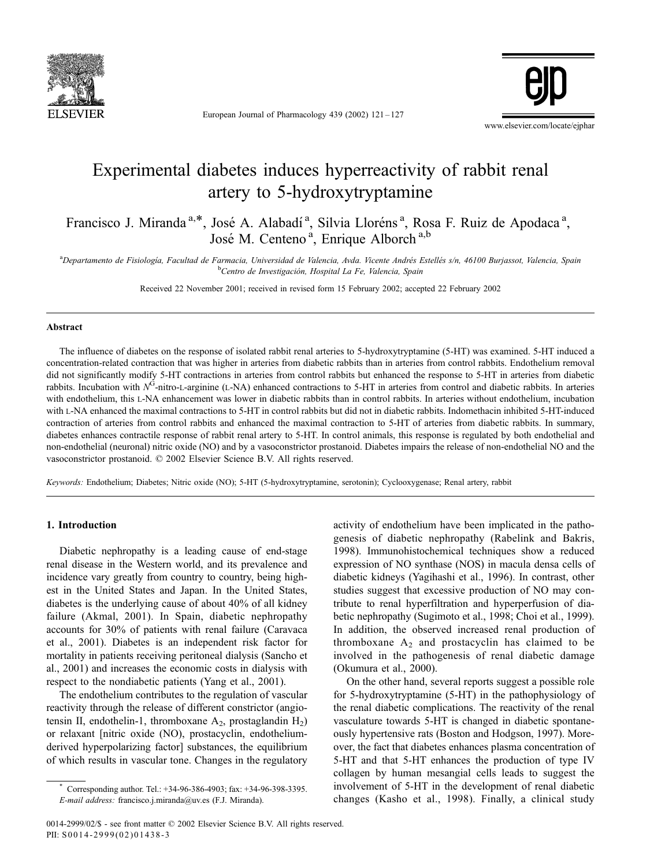

European Journal of Pharmacology 439 (2002)  $121 - 127$ 



# Experimental diabetes induces hyperreactivity of rabbit renal artery to 5-hydroxytryptamine

Francisco J. Miranda<sup>a,\*</sup>, José A. Alabadí<sup>a</sup>, Silvia Lloréns<sup>a</sup>, Rosa F. Ruiz de Apodaca<sup>a</sup>, José M. Centeno<sup>a</sup>, Enrique Alborch<sup>a,b</sup>

<sup>a</sup>Departamento de Fisiología, Facultad de Farmacia, Universidad de Valencia, Avda. Vicente Andrés Estellés s/n, 46100 Burjassot, Valencia, Spain<br><sup>b</sup>Contre de Impetiageién, Hespital La Fe, Valencia, Spain <sup>b</sup>Centro de Investigación, Hospital La Fe, Valencia, Spain

Received 22 November 2001; received in revised form 15 February 2002; accepted 22 February 2002

### Abstract

The influence of diabetes on the response of isolated rabbit renal arteries to 5-hydroxytryptamine (5-HT) was examined. 5-HT induced a concentration-related contraction that was higher in arteries from diabetic rabbits than in arteries from control rabbits. Endothelium removal did not significantly modify 5-HT contractions in arteries from control rabbits but enhanced the response to 5-HT in arteries from diabetic rabbits. Incubation with  $N<sup>G</sup>$ -nitro-L-arginine (L-NA) enhanced contractions to 5-HT in arteries from control and diabetic rabbits. In arteries with endothelium, this L-NA enhancement was lower in diabetic rabbits than in control rabbits. In arteries without endothelium, incubation with L-NA enhanced the maximal contractions to 5-HT in control rabbits but did not in diabetic rabbits. Indomethacin inhibited 5-HT-induced contraction of arteries from control rabbits and enhanced the maximal contraction to 5-HT of arteries from diabetic rabbits. In summary, diabetes enhances contractile response of rabbit renal artery to 5-HT. In control animals, this response is regulated by both endothelial and non-endothelial (neuronal) nitric oxide (NO) and by a vasoconstrictor prostanoid. Diabetes impairs the release of non-endothelial NO and the vasoconstrictor prostanoid.  $\oslash$  2002 Elsevier Science B.V. All rights reserved.

Keywords: Endothelium; Diabetes; Nitric oxide (NO); 5-HT (5-hydroxytryptamine, serotonin); Cyclooxygenase; Renal artery, rabbit

#### 1. Introduction

Diabetic nephropathy is a leading cause of end-stage renal disease in the Western world, and its prevalence and incidence vary greatly from country to country, being highest in the United States and Japan. In the United States, diabetes is the underlying cause of about 40% of all kidney failure (Akmal, 2001). In Spain, diabetic nephropathy accounts for 30% of patients with renal failure (Caravaca et al., 2001). Diabetes is an independent risk factor for mortality in patients receiving peritoneal dialysis (Sancho et al., 2001) and increases the economic costs in dialysis with respect to the nondiabetic patients (Yang et al., 2001).

The endothelium contributes to the regulation of vascular reactivity through the release of different constrictor (angiotensin II, endothelin-1, thromboxane  $A_2$ , prostaglandin  $H_2$ ) or relaxant [nitric oxide (NO), prostacyclin, endotheliumderived hyperpolarizing factor] substances, the equilibrium of which results in vascular tone. Changes in the regulatory

genesis of diabetic nephropathy (Rabelink and Bakris, 1998). Immunohistochemical techniques show a reduced expression of NO synthase (NOS) in macula densa cells of diabetic kidneys (Yagihashi et al., 1996). In contrast, other studies suggest that excessive production of NO may contribute to renal hyperfiltration and hyperperfusion of diabetic nephropathy (Sugimoto et al., 1998; Choi et al., 1999). In addition, the observed increased renal production of thromboxane  $A_2$  and prostacyclin has claimed to be involved in the pathogenesis of renal diabetic damage (Okumura et al., 2000). On the other hand, several reports suggest a possible role

activity of endothelium have been implicated in the patho-

for 5-hydroxytryptamine (5-HT) in the pathophysiology of the renal diabetic complications. The reactivity of the renal vasculature towards 5-HT is changed in diabetic spontaneously hypertensive rats (Boston and Hodgson, 1997). Moreover, the fact that diabetes enhances plasma concentration of 5-HT and that 5-HT enhances the production of type IV collagen by human mesangial cells leads to suggest the involvement of 5-HT in the development of renal diabetic changes (Kasho et al., 1998). Finally, a clinical study

Corresponding author. Tel.:  $+34-96-386-4903$ ; fax:  $+34-96-398-3395$ . E-mail address: francisco.j.miranda@uv.es (F.J. Miranda).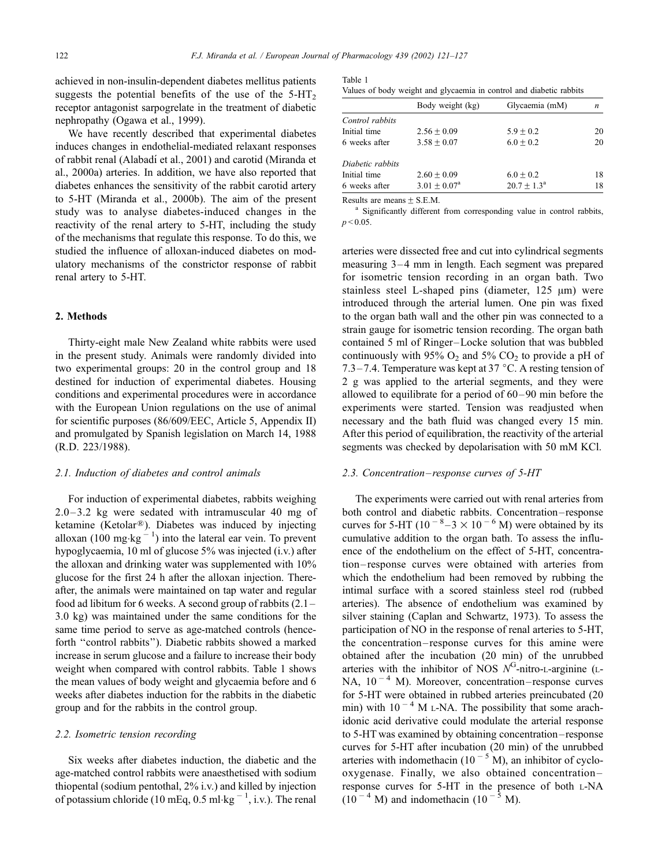achieved in non-insulin-dependent diabetes mellitus patients suggests the potential benefits of the use of the  $5-HT<sub>2</sub>$ receptor antagonist sarpogrelate in the treatment of diabetic nephropathy (Ogawa et al., 1999).

We have recently described that experimental diabetes induces changes in endothelial-mediated relaxant responses of rabbit renal (Alabadı´ et al., 2001) and carotid (Miranda et al., 2000a) arteries. In addition, we have also reported that diabetes enhances the sensitivity of the rabbit carotid artery to 5-HT (Miranda et al., 2000b). The aim of the present study was to analyse diabetes-induced changes in the reactivity of the renal artery to 5-HT, including the study of the mechanisms that regulate this response. To do this, we studied the influence of alloxan-induced diabetes on modulatory mechanisms of the constrictor response of rabbit renal artery to 5-HT.

#### 2. Methods

Thirty-eight male New Zealand white rabbits were used in the present study. Animals were randomly divided into two experimental groups: 20 in the control group and 18 destined for induction of experimental diabetes. Housing conditions and experimental procedures were in accordance with the European Union regulations on the use of animal for scientific purposes (86/609/EEC, Article 5, Appendix II) and promulgated by Spanish legislation on March 14, 1988 (R.D. 223/1988).

#### 2.1. Induction of diabetes and control animals

For induction of experimental diabetes, rabbits weighing  $2.0 - 3.2$  kg were sedated with intramuscular 40 mg of ketamine (Ketolar<sup>®</sup>). Diabetes was induced by injecting alloxan (100 mg·kg<sup>-1</sup>) into the lateral ear vein. To prevent hypoglycaemia, 10 ml of glucose 5% was injected (i.v.) after the alloxan and drinking water was supplemented with 10% glucose for the first 24 h after the alloxan injection. Thereafter, the animals were maintained on tap water and regular food ad libitum for 6 weeks. A second group of rabbits (2.1 – 3.0 kg) was maintained under the same conditions for the same time period to serve as age-matched controls (henceforth ''control rabbits''). Diabetic rabbits showed a marked increase in serum glucose and a failure to increase their body weight when compared with control rabbits. Table 1 shows the mean values of body weight and glycaemia before and 6 weeks after diabetes induction for the rabbits in the diabetic group and for the rabbits in the control group.

## 2.2. Isometric tension recording

Six weeks after diabetes induction, the diabetic and the age-matched control rabbits were anaesthetised with sodium thiopental (sodium pentothal, 2% i.v.) and killed by injection of potassium chloride (10 mEq, 0.5 ml·kg  $^{-1}$ , i.v.). The renal

| Table 1 |  |                                                                     |  |  |  |
|---------|--|---------------------------------------------------------------------|--|--|--|
|         |  | Values of body weight and glycaemia in control and diabetic rabbits |  |  |  |

|                  | Body weight (kg)        | Glycaemia (mM)       | n  |
|------------------|-------------------------|----------------------|----|
| Control rabbits  |                         |                      |    |
| Initial time     | $2.56 + 0.09$           | $5.9 + 0.2$          | 20 |
| 6 weeks after    | $3.58 + 0.07$           | $6.0 + 0.2$          | 20 |
| Diabetic rabbits |                         |                      |    |
| Initial time     | $2.60 + 0.09$           | $6.0 + 0.2$          | 18 |
| 6 weeks after    | $3.01 \pm 0.07^{\rm a}$ | $20.7 + 1.3^{\rm a}$ | 18 |
|                  |                         |                      |    |

Results are means  $\pm$  S.E.M.<br><sup>a</sup> Significantly different from corresponding value in control rabbits,  $p < 0.05$ .

arteries were dissected free and cut into cylindrical segments measuring  $3-4$  mm in length. Each segment was prepared for isometric tension recording in an organ bath. Two stainless steel L-shaped pins (diameter,  $125 \mu m$ ) were introduced through the arterial lumen. One pin was fixed to the organ bath wall and the other pin was connected to a strain gauge for isometric tension recording. The organ bath contained 5 ml of Ringer –Locke solution that was bubbled continuously with 95%  $O_2$  and 5%  $CO_2$  to provide a pH of 7.3–7.4. Temperature was kept at 37  $^{\circ}$ C. A resting tension of 2 g was applied to the arterial segments, and they were allowed to equilibrate for a period of 60 – 90 min before the experiments were started. Tension was readjusted when necessary and the bath fluid was changed every 15 min. After this period of equilibration, the reactivity of the arterial segments was checked by depolarisation with 50 mM KCl.

#### 2.3. Concentration–response curves of 5-HT

The experiments were carried out with renal arteries from both control and diabetic rabbits. Concentration – response curves for 5-HT ( $10^{-8}$ –3  $\times$   $10^{-6}$  M) were obtained by its cumulative addition to the organ bath. To assess the influence of the endothelium on the effect of 5-HT, concentration – response curves were obtained with arteries from which the endothelium had been removed by rubbing the intimal surface with a scored stainless steel rod (rubbed arteries). The absence of endothelium was examined by silver staining (Caplan and Schwartz, 1973). To assess the participation of NO in the response of renal arteries to 5-HT, the concentration – response curves for this amine were obtained after the incubation (20 min) of the unrubbed arteries with the inhibitor of NOS  $N<sup>G</sup>$ -nitro-L-arginine (L-NA,  $10^{-4}$  M). Moreover, concentration–response curves for 5-HT were obtained in rubbed arteries preincubated (20 min) with  $10^{-4}$  M L-NA. The possibility that some arachidonic acid derivative could modulate the arterial response to 5-HT was examined by obtaining concentration – response curves for 5-HT after incubation (20 min) of the unrubbed arteries with indomethacin  $(10^{-5}$  M), an inhibitor of cyclooxygenase. Finally, we also obtained concentration – response curves for 5-HT in the presence of both L-NA  $(10^{-4} \text{ M})$  and indomethacin  $(10^{-5} \text{ M})$ .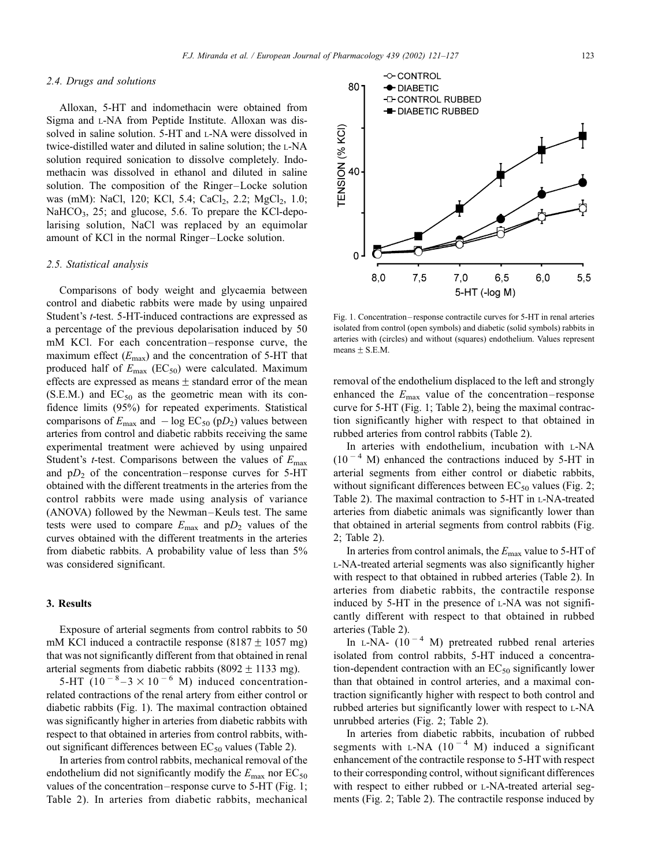means  $\pm$  S.E.M.

#### 2.4. Drugs and solutions

Alloxan, 5-HT and indomethacin were obtained from Sigma and L-NA from Peptide Institute. Alloxan was dissolved in saline solution. 5-HT and L-NA were dissolved in twice-distilled water and diluted in saline solution; the L-NA solution required sonication to dissolve completely. Indomethacin was dissolved in ethanol and diluted in saline solution. The composition of the Ringer-Locke solution was (mM): NaCl, 120; KCl, 5.4; CaCl<sub>2</sub>, 2.2; MgCl<sub>2</sub>, 1.0; NaHCO $_3$ , 25; and glucose, 5.6. To prepare the KCl-depolarising solution, NaCl was replaced by an equimolar amount of KCl in the normal Ringer –Locke solution.

#### 2.5. Statistical analysis

Comparisons of body weight and glycaemia between control and diabetic rabbits were made by using unpaired Student's t-test. 5-HT-induced contractions are expressed as a percentage of the previous depolarisation induced by 50 mM KCl. For each concentration-response curve, the maximum effect  $(E_{\text{max}})$  and the concentration of 5-HT that produced half of  $E_{\text{max}}$  (EC<sub>50</sub>) were calculated. Maximum effects are expressed as means  $\pm$  standard error of the mean  $(S.E.M.)$  and  $EC_{50}$  as the geometric mean with its confidence limits (95%) for repeated experiments. Statistical comparisons of  $E_{\text{max}}$  and  $-\log EC_{50}$  (p $D_2$ ) values between arteries from control and diabetic rabbits receiving the same experimental treatment were achieved by using unpaired Student's *t*-test. Comparisons between the values of  $E_{\text{max}}$ and  $pD_2$  of the concentration–response curves for 5-HT obtained with the different treatments in the arteries from the control rabbits were made using analysis of variance (ANOVA) followed by the Newman –Keuls test. The same tests were used to compare  $E_{\text{max}}$  and  $pD_2$  values of the curves obtained with the different treatments in the arteries from diabetic rabbits. A probability value of less than 5% was considered significant.

## 3. Results

Exposure of arterial segments from control rabbits to 50 mM KCl induced a contractile response (8187  $\pm$  1057 mg) that was not significantly different from that obtained in renal arterial segments from diabetic rabbits (8092  $\pm$  1133 mg).

5-HT  $(10^{-8}-3 \times 10^{-6}$  M) induced concentrationrelated contractions of the renal artery from either control or diabetic rabbits (Fig. 1). The maximal contraction obtained was significantly higher in arteries from diabetic rabbits with respect to that obtained in arteries from control rabbits, without significant differences between  $EC_{50}$  values (Table 2).

In arteries from control rabbits, mechanical removal of the endothelium did not significantly modify the  $E_{\text{max}}$  nor  $EC_{50}$ values of the concentration – response curve to 5-HT (Fig. 1; Table 2). In arteries from diabetic rabbits, mechanical

 $5,5$ 5-HT (-log M) Fig. 1. Concentration – response contractile curves for 5-HT in renal arteries isolated from control (open symbols) and diabetic (solid symbols) rabbits in arteries with (circles) and without (squares) endothelium. Values represent

removal of the endothelium displaced to the left and strongly enhanced the  $E_{\text{max}}$  value of the concentration–response curve for 5-HT (Fig. 1; Table 2), being the maximal contraction significantly higher with respect to that obtained in rubbed arteries from control rabbits (Table 2).

In arteries with endothelium, incubation with L-NA  $(10^{-4}$  M) enhanced the contractions induced by 5-HT in arterial segments from either control or diabetic rabbits, without significant differences between  $EC_{50}$  values (Fig. 2; Table 2). The maximal contraction to 5-HT in L-NA-treated arteries from diabetic animals was significantly lower than that obtained in arterial segments from control rabbits (Fig. 2; Table 2).

In arteries from control animals, the  $E_{\text{max}}$  value to 5-HT of L-NA-treated arterial segments was also significantly higher with respect to that obtained in rubbed arteries (Table 2). In arteries from diabetic rabbits, the contractile response induced by 5-HT in the presence of L-NA was not significantly different with respect to that obtained in rubbed arteries (Table 2).

In  $L-NA-$  (10<sup>-4</sup> M) pretreated rubbed renal arteries isolated from control rabbits, 5-HT induced a concentration-dependent contraction with an  $EC_{50}$  significantly lower than that obtained in control arteries, and a maximal contraction significantly higher with respect to both control and rubbed arteries but significantly lower with respect to L-NA unrubbed arteries (Fig. 2; Table 2).

In arteries from diabetic rabbits, incubation of rubbed segments with  $L-NA$  (10<sup>-4</sup> M) induced a significant enhancement of the contractile response to 5-HT with respect to their corresponding control, without significant differences with respect to either rubbed or L-NA-treated arterial segments (Fig. 2; Table 2). The contractile response induced by

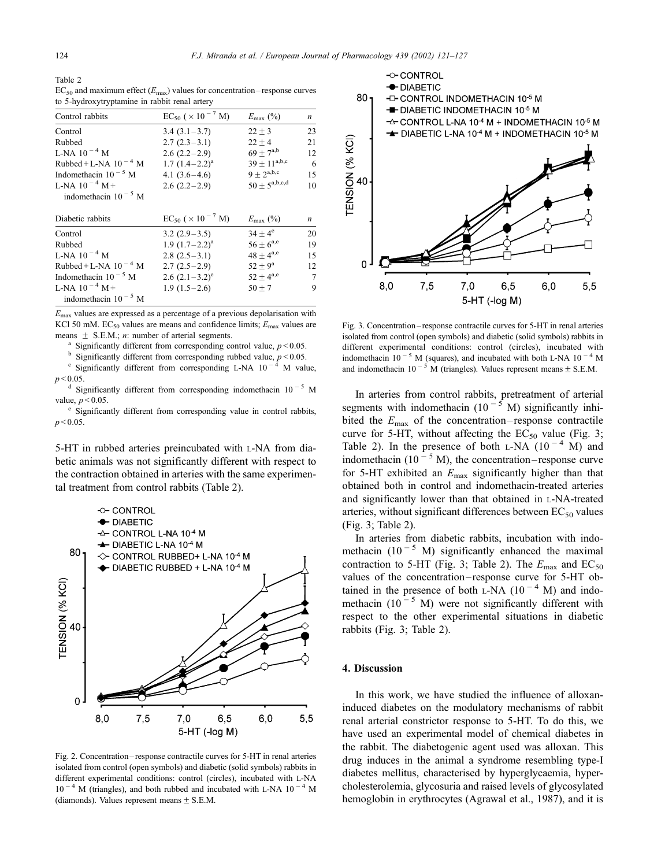Table 2  $EC_{50}$  and maximum effect ( $E_{\text{max}}$ ) values for concentration–response curves to 5-hydroxytryptamine in rabbit renal artery

| Control rabbits           | $EC_{50}$ ( $\times$ 10 <sup>-7</sup> M) | $E_{\text{max}}$ (%) | n  |
|---------------------------|------------------------------------------|----------------------|----|
| Control                   | $3.4(3.1-3.7)$                           | $22 + 3$             | 23 |
| Rubbed                    | $2.7(2.3-3.1)$                           | $22 + 4$             | 21 |
| L-NA $10^{-4}$ M          | $2.6(2.2-2.9)$                           | $69 + 7^{a,b}$       | 12 |
| Rubbed + L-NA $10^{-4}$ M | $1.7 (1.4 - 2.2)^a$                      | $39 \pm 11^{a,b,c}$  | 6  |
| Indomethacin $10^{-5}$ M  | 4.1 $(3.6-4.6)$                          | $9 + 2^{a,b,c}$      | 15 |
| L-NA $10^{-4}$ M +        | $2.6(2.2-2.9)$                           | $50 + 5^{a,b,c,d}$   | 10 |
| indomethacin $10^{-5}$ M  |                                          |                      |    |
| Diabetic rabbits          | $EC_{50}$ ( $\times$ 10 <sup>-7</sup> M) | $E_{\text{max}}$ (%) | n  |
| Control                   | $3.2(2.9-3.5)$                           | $34 + 4^e$           | 20 |
| Rubbed                    | $1.9$ $(1.7-2.2)^{a}$                    | $56 \pm 6^{a,e}$     | 19 |
| L-NA $10^{-4}$ M          | $2.8(2.5-3.1)$                           | $48 + 4^{a,e}$       | 15 |
| Rubbed + L-NA $10^{-4}$ M | $2.7(2.5-2.9)$                           | $52 + 9^a$           | 12 |
| Indomethacin $10^{-5}$ M  | 2.6 $(2.1-3.2)^e$                        | $52 \pm 4^{a,e}$     | 7  |
| L-NA $10^{-4}$ M +        | $1.9(1.5-2.6)$                           | $50 + 7$             | 9  |
| indomethacin $10^{-5}$ M  |                                          |                      |    |

 $E_{\text{max}}$  values are expressed as a percentage of a previous depolarisation with KCl 50 mM. EC<sub>50</sub> values are means and confidence limits;  $E_{\text{max}}$  values are means  $\pm$  S.E.M.; *n*: number of arterial segments.<br><sup>a</sup> Significantly different from corresponding control value, *p* < 0.05.<br><sup>b</sup> Significantly different from corresponding rubbed value, *p* < 0.05.

 $\degree$  Significantly different from corresponding L-NA 10<sup>-4</sup> M value,

 $p$  < 0.05.<br>d Significantly different from corresponding indomethacin 10<sup>-5</sup> M

value,  $p < 0.05$ .<br>
<sup>e</sup> Significantly different from corresponding value in control rabbits,  $p < 0.05$ .

5-HT in rubbed arteries preincubated with L-NA from diabetic animals was not significantly different with respect to the contraction obtained in arteries with the same experimental treatment from control rabbits (Table 2).



Fig. 2. Concentration – response contractile curves for 5-HT in renal arteries isolated from control (open symbols) and diabetic (solid symbols) rabbits in different experimental conditions: control (circles), incubated with L-NA  $10^{-4}$  M (triangles), and both rubbed and incubated with L-NA  $10^{-4}$  M (diamonds). Values represent means  $\pm$  S.E.M.



Fig. 3. Concentration – response contractile curves for 5-HT in renal arteries isolated from control (open symbols) and diabetic (solid symbols) rabbits in different experimental conditions: control (circles), incubated with indomethacin  $10^{-5}$  M (squares), and incubated with both L-NA  $10^{-4}$  M and indomethacin 10<sup>-5</sup> M (triangles). Values represent means  $\pm$  S.E.M.

In arteries from control rabbits, pretreatment of arterial segments with indomethacin  $(10^{-5} \text{ M})$  significantly inhibited the  $E_{\text{max}}$  of the concentration–response contractile curve for 5-HT, without affecting the  $EC_{50}$  value (Fig. 3; Table 2). In the presence of both L-NA  $(10^{-4}$  M) and indomethacin (10<sup> $-5$ </sup> M), the concentration–response curve for 5-HT exhibited an  $E_{\text{max}}$  significantly higher than that obtained both in control and indomethacin-treated arteries and significantly lower than that obtained in L-NA-treated arteries, without significant differences between  $EC_{50}$  values (Fig. 3; Table 2).

In arteries from diabetic rabbits, incubation with indomethacin  $(10^{-5}$  M) significantly enhanced the maximal contraction to 5-HT (Fig. 3; Table 2). The  $E_{\text{max}}$  and  $EC_{50}$ values of the concentration – response curve for 5-HT obtained in the presence of both L-NA  $(10^{-4}$  M) and indomethacin (10<sup>-5</sup> M) were not significantly different with respect to the other experimental situations in diabetic rabbits (Fig. 3; Table 2).

## 4. Discussion

In this work, we have studied the influence of alloxaninduced diabetes on the modulatory mechanisms of rabbit renal arterial constrictor response to 5-HT. To do this, we have used an experimental model of chemical diabetes in the rabbit. The diabetogenic agent used was alloxan. This drug induces in the animal a syndrome resembling type-I diabetes mellitus, characterised by hyperglycaemia, hypercholesterolemia, glycosuria and raised levels of glycosylated hemoglobin in erythrocytes (Agrawal et al., 1987), and it is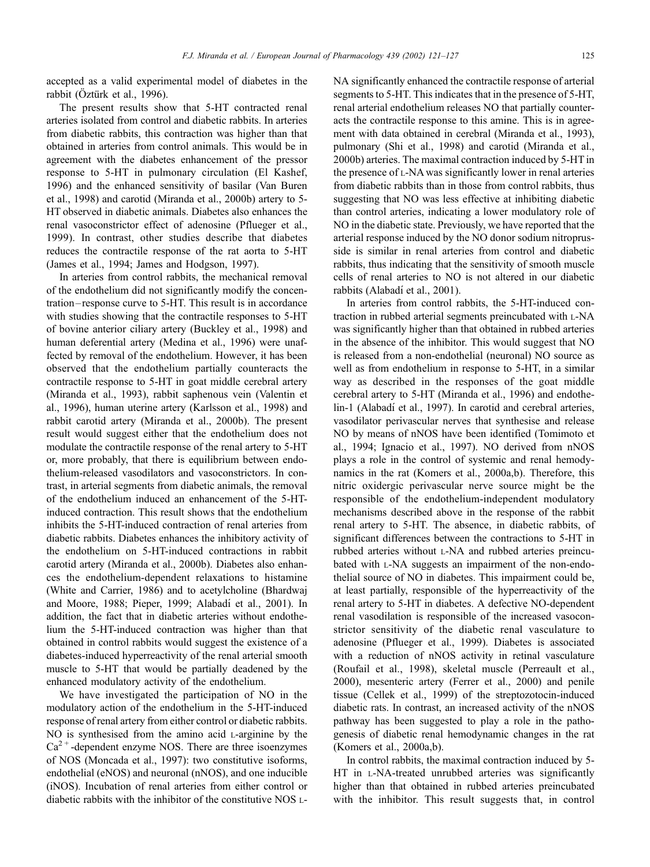accepted as a valid experimental model of diabetes in the rabbit (Oztürk et al., 1996).

The present results show that 5-HT contracted renal arteries isolated from control and diabetic rabbits. In arteries from diabetic rabbits, this contraction was higher than that obtained in arteries from control animals. This would be in agreement with the diabetes enhancement of the pressor response to 5-HT in pulmonary circulation (El Kashef, 1996) and the enhanced sensitivity of basilar (Van Buren et al., 1998) and carotid (Miranda et al., 2000b) artery to 5- HT observed in diabetic animals. Diabetes also enhances the renal vasoconstrictor effect of adenosine (Pflueger et al., 1999). In contrast, other studies describe that diabetes reduces the contractile response of the rat aorta to 5-HT (James et al., 1994; James and Hodgson, 1997).

In arteries from control rabbits, the mechanical removal of the endothelium did not significantly modify the concentration – response curve to 5-HT. This result is in accordance with studies showing that the contractile responses to 5-HT of bovine anterior ciliary artery (Buckley et al., 1998) and human deferential artery (Medina et al., 1996) were unaffected by removal of the endothelium. However, it has been observed that the endothelium partially counteracts the contractile response to 5-HT in goat middle cerebral artery (Miranda et al., 1993), rabbit saphenous vein (Valentin et al., 1996), human uterine artery (Karlsson et al., 1998) and rabbit carotid artery (Miranda et al., 2000b). The present result would suggest either that the endothelium does not modulate the contractile response of the renal artery to 5-HT or, more probably, that there is equilibrium between endothelium-released vasodilators and vasoconstrictors. In contrast, in arterial segments from diabetic animals, the removal of the endothelium induced an enhancement of the 5-HTinduced contraction. This result shows that the endothelium inhibits the 5-HT-induced contraction of renal arteries from diabetic rabbits. Diabetes enhances the inhibitory activity of the endothelium on 5-HT-induced contractions in rabbit carotid artery (Miranda et al., 2000b). Diabetes also enhances the endothelium-dependent relaxations to histamine (White and Carrier, 1986) and to acetylcholine (Bhardwaj and Moore, 1988; Pieper, 1999; Alabadı´ et al., 2001). In addition, the fact that in diabetic arteries without endothelium the 5-HT-induced contraction was higher than that obtained in control rabbits would suggest the existence of a diabetes-induced hyperreactivity of the renal arterial smooth muscle to 5-HT that would be partially deadened by the enhanced modulatory activity of the endothelium.

We have investigated the participation of NO in the modulatory action of the endothelium in the 5-HT-induced response of renal artery from either control or diabetic rabbits. NO is synthesised from the amino acid L-arginine by the  $Ca<sup>2+</sup>$ -dependent enzyme NOS. There are three isoenzymes of NOS (Moncada et al., 1997): two constitutive isoforms, endothelial (eNOS) and neuronal (nNOS), and one inducible (iNOS). Incubation of renal arteries from either control or diabetic rabbits with the inhibitor of the constitutive NOS L- NA significantly enhanced the contractile response of arterial segments to 5-HT. This indicates that in the presence of 5-HT, renal arterial endothelium releases NO that partially counteracts the contractile response to this amine. This is in agreement with data obtained in cerebral (Miranda et al., 1993), pulmonary (Shi et al., 1998) and carotid (Miranda et al., 2000b) arteries. The maximal contraction induced by 5-HT in the presence of L-NA was significantly lower in renal arteries from diabetic rabbits than in those from control rabbits, thus suggesting that NO was less effective at inhibiting diabetic than control arteries, indicating a lower modulatory role of NO in the diabetic state. Previously, we have reported that the arterial response induced by the NO donor sodium nitroprusside is similar in renal arteries from control and diabetic rabbits, thus indicating that the sensitivity of smooth muscle cells of renal arteries to NO is not altered in our diabetic rabbits (Alabadí et al., 2001).

In arteries from control rabbits, the 5-HT-induced contraction in rubbed arterial segments preincubated with L-NA was significantly higher than that obtained in rubbed arteries in the absence of the inhibitor. This would suggest that NO is released from a non-endothelial (neuronal) NO source as well as from endothelium in response to 5-HT, in a similar way as described in the responses of the goat middle cerebral artery to 5-HT (Miranda et al., 1996) and endothelin-1 (Alabadí et al., 1997). In carotid and cerebral arteries, vasodilator perivascular nerves that synthesise and release NO by means of nNOS have been identified (Tomimoto et al., 1994; Ignacio et al., 1997). NO derived from nNOS plays a role in the control of systemic and renal hemodynamics in the rat (Komers et al., 2000a,b). Therefore, this nitric oxidergic perivascular nerve source might be the responsible of the endothelium-independent modulatory mechanisms described above in the response of the rabbit renal artery to 5-HT. The absence, in diabetic rabbits, of significant differences between the contractions to 5-HT in rubbed arteries without L-NA and rubbed arteries preincubated with L-NA suggests an impairment of the non-endothelial source of NO in diabetes. This impairment could be, at least partially, responsible of the hyperreactivity of the renal artery to 5-HT in diabetes. A defective NO-dependent renal vasodilation is responsible of the increased vasoconstrictor sensitivity of the diabetic renal vasculature to adenosine (Pflueger et al., 1999). Diabetes is associated with a reduction of nNOS activity in retinal vasculature (Roufail et al., 1998), skeletal muscle (Perreault et al., 2000), mesenteric artery (Ferrer et al., 2000) and penile tissue (Cellek et al., 1999) of the streptozotocin-induced diabetic rats. In contrast, an increased activity of the nNOS pathway has been suggested to play a role in the pathogenesis of diabetic renal hemodynamic changes in the rat (Komers et al., 2000a,b).

In control rabbits, the maximal contraction induced by 5- HT in L-NA-treated unrubbed arteries was significantly higher than that obtained in rubbed arteries preincubated with the inhibitor. This result suggests that, in control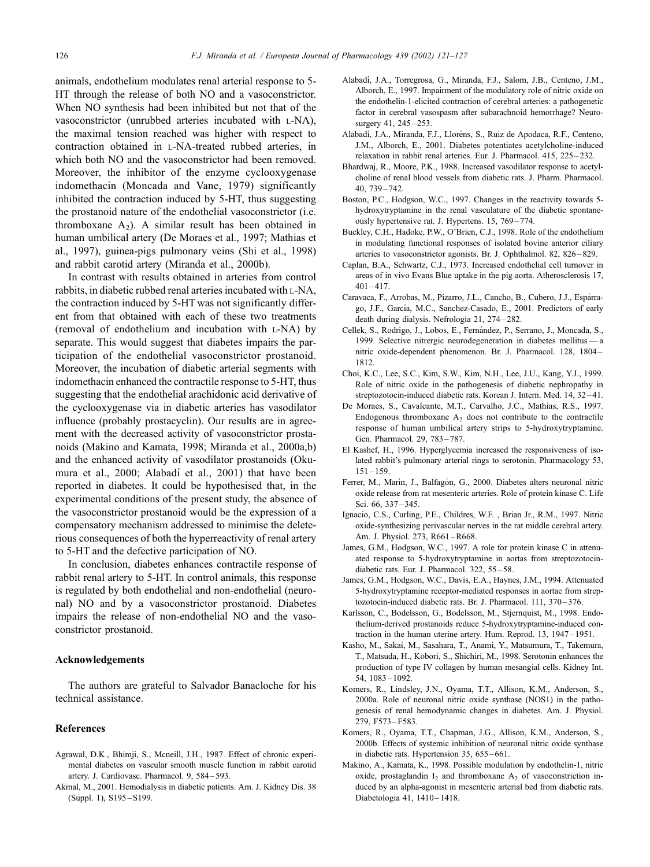animals, endothelium modulates renal arterial response to 5- HT through the release of both NO and a vasoconstrictor. When NO synthesis had been inhibited but not that of the vasoconstrictor (unrubbed arteries incubated with L-NA), the maximal tension reached was higher with respect to contraction obtained in L-NA-treated rubbed arteries, in which both NO and the vasoconstrictor had been removed. Moreover, the inhibitor of the enzyme cyclooxygenase indomethacin (Moncada and Vane, 1979) significantly inhibited the contraction induced by 5-HT, thus suggesting the prostanoid nature of the endothelial vasoconstrictor (i.e. thromboxane  $A_2$ ). A similar result has been obtained in human umbilical artery (De Moraes et al., 1997; Mathias et al., 1997), guinea-pigs pulmonary veins (Shi et al., 1998) and rabbit carotid artery (Miranda et al., 2000b).

In contrast with results obtained in arteries from control rabbits, in diabetic rubbed renal arteries incubated with L-NA, the contraction induced by 5-HT was not significantly different from that obtained with each of these two treatments (removal of endothelium and incubation with L-NA) by separate. This would suggest that diabetes impairs the participation of the endothelial vasoconstrictor prostanoid. Moreover, the incubation of diabetic arterial segments with indomethacin enhanced the contractile response to 5-HT, thus suggesting that the endothelial arachidonic acid derivative of the cyclooxygenase via in diabetic arteries has vasodilator influence (probably prostacyclin). Our results are in agreement with the decreased activity of vasoconstrictor prostanoids (Makino and Kamata, 1998; Miranda et al., 2000a,b) and the enhanced activity of vasodilator prostanoids (Okumura et al., 2000; Alabadí et al., 2001) that have been reported in diabetes. It could be hypothesised that, in the experimental conditions of the present study, the absence of the vasoconstrictor prostanoid would be the expression of a compensatory mechanism addressed to minimise the deleterious consequences of both the hyperreactivity of renal artery to 5-HT and the defective participation of NO.

In conclusion, diabetes enhances contractile response of rabbit renal artery to 5-HT. In control animals, this response is regulated by both endothelial and non-endothelial (neuronal) NO and by a vasoconstrictor prostanoid. Diabetes impairs the release of non-endothelial NO and the vasoconstrictor prostanoid.

# Acknowledgements

The authors are grateful to Salvador Banacloche for his technical assistance.

## References

- Agrawal, D.K., Bhimji, S., Mcneill, J.H., 1987. Effect of chronic experimental diabetes on vascular smooth muscle function in rabbit carotid artery. J. Cardiovasc. Pharmacol. 9, 584 – 593.
- Akmal, M., 2001. Hemodialysis in diabetic patients. Am. J. Kidney Dis. 38 (Suppl. 1), S195 – S199.
- Alabadı´, J.A., Torregrosa, G., Miranda, F.J., Salom, J.B., Centeno, J.M., Alborch, E., 1997. Impairment of the modulatory role of nitric oxide on the endothelin-1-elicited contraction of cerebral arteries: a pathogenetic factor in cerebral vasospasm after subarachnoid hemorrhage? Neurosurgery 41, 245-253.
- Alabadí, J.A., Miranda, F.J., Lloréns, S., Ruiz de Apodaca, R.F., Centeno, J.M., Alborch, E., 2001. Diabetes potentiates acetylcholine-induced relaxation in rabbit renal arteries. Eur. J. Pharmacol. 415, 225 – 232.
- Bhardwaj, R., Moore, P.K., 1988. Increased vasodilator response to acetylcholine of renal blood vessels from diabetic rats. J. Pharm. Pharmacol. 40, 739 – 742.
- Boston, P.C., Hodgson, W.C., 1997. Changes in the reactivity towards 5 hydroxytryptamine in the renal vasculature of the diabetic spontaneously hypertensive rat. J. Hypertens. 15, 769 – 774.
- Buckley, C.H., Hadoke, P.W., O'Brien, C.J., 1998. Role of the endothelium in modulating functional responses of isolated bovine anterior ciliary arteries to vasoconstrictor agonists. Br. J. Ophthalmol. 82, 826 – 829.
- Caplan, B.A., Schwartz, C.J., 1973. Increased endothelial cell turnover in areas of in vivo Evans Blue uptake in the pig aorta. Atherosclerosis 17,  $401 - 417$
- Caravaca, F., Arrobas, M., Pizarro, J.L., Cancho, B., Cubero, J.J., Espárrago, J.F., García, M.C., Sanchez-Casado, E., 2001. Predictors of early death during dialysis. Nefrologia 21, 274-282.
- Cellek, S., Rodrigo, J., Lobos, E., Fernández, P., Serrano, J., Moncada, S., 1999. Selective nitrergic neurodegeneration in diabetes mellitus — a nitric oxide-dependent phenomenon. Br. J. Pharmacol. 128, 1804 – 1812.
- Choi, K.C., Lee, S.C., Kim, S.W., Kim, N.H., Lee, J.U., Kang, Y.J., 1999. Role of nitric oxide in the pathogenesis of diabetic nephropathy in streptozotocin-induced diabetic rats. Korean J. Intern. Med. 14, 32 – 41.
- De Moraes, S., Cavalcante, M.T., Carvalho, J.C., Mathias, R.S., 1997. Endogenous thromboxane  $A_2$  does not contribute to the contractile response of human umbilical artery strips to 5-hydroxytryptamine. Gen. Pharmacol. 29, 783-787.
- El Kashef, H., 1996. Hyperglycemia increased the responsiveness of isolated rabbit's pulmonary arterial rings to serotonin. Pharmacology 53,  $151 - 159$
- Ferrer, M., Marín, J., Balfagón, G., 2000. Diabetes alters neuronal nitric oxide release from rat mesenteric arteries. Role of protein kinase C. Life Sci. 66, 337 – 345.
- Ignacio, C.S., Curling, P.E., Childres, W.F. , Brian Jr., R.M., 1997. Nitric oxide-synthesizing perivascular nerves in the rat middle cerebral artery. Am. J. Physiol. 273, R661 –R668.
- James, G.M., Hodgson, W.C., 1997. A role for protein kinase C in attenuated response to 5-hydroxytryptamine in aortas from streptozotocindiabetic rats. Eur. J. Pharmacol. 322, 55-58.
- James, G.M., Hodgson, W.C., Davis, E.A., Haynes, J.M., 1994. Attenuated 5-hydroxytryptamine receptor-mediated responses in aortae from streptozotocin-induced diabetic rats. Br. J. Pharmacol. 111, 370-376.
- Karlsson, C., Bodelsson, G., Bodelsson, M., Stjernquist, M., 1998. Endothelium-derived prostanoids reduce 5-hydroxytryptamine-induced contraction in the human uterine artery. Hum. Reprod. 13, 1947 – 1951.
- Kasho, M., Sakai, M., Sasahara, T., Anami, Y., Matsumura, T., Takemura, T., Matsuda, H., Kobori, S., Shichiri, M., 1998. Serotonin enhances the production of type IV collagen by human mesangial cells. Kidney Int. 54, 1083 – 1092.
- Komers, R., Lindsley, J.N., Oyama, T.T., Allison, K.M., Anderson, S., 2000a. Role of neuronal nitric oxide synthase (NOS1) in the pathogenesis of renal hemodynamic changes in diabetes. Am. J. Physiol. 279, F573 – F583.
- Komers, R., Oyama, T.T., Chapman, J.G., Allison, K.M., Anderson, S., 2000b. Effects of systemic inhibition of neuronal nitric oxide synthase in diabetic rats. Hypertension 35, 655 – 661.
- Makino, A., Kamata, K., 1998. Possible modulation by endothelin-1, nitric oxide, prostaglandin  $I_2$  and thromboxane  $A_2$  of vasoconstriction induced by an alpha-agonist in mesenteric arterial bed from diabetic rats. Diabetologia 41, 1410-1418.